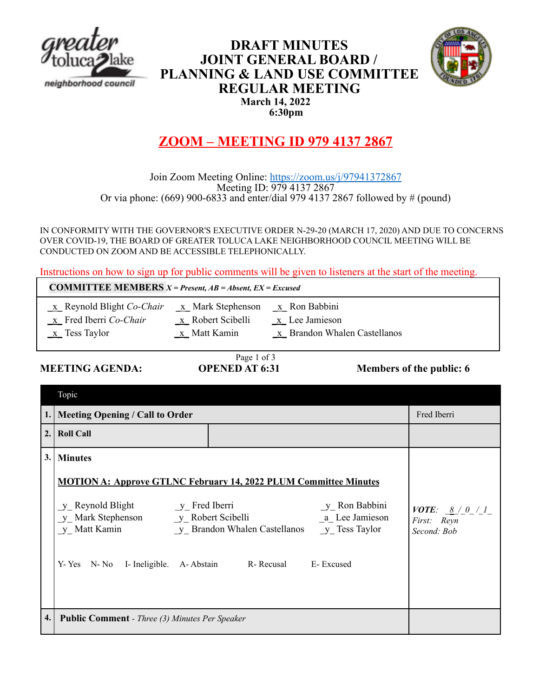

## **DRAFT MINUTES JOINT GENERAL BOARD / PLANNING & LAND USE COMMITTEE REGULAR MEETING March 14, 2022 6:30pm**



# **ZOOM – MEETING ID 979 4137 2867**

Join Zoom Meeting Online: https://zoom.us/j/97941372867 Meeting ID: 979 4137 2867 Or via phone: (669) 900-6833 and enter/dial 979 4137 2867 followed by # (pound)

IN CONFORMITY WITH THE GOVERNOR'S EXECUTIVE ORDER N-29-20 (MARCH 17, 2020) AND DUE TO CONCERNS OVER COVID-19, THE BOARD OF GREATER TOLUCA LAKE NEIGHBORHOOD COUNCIL MEETING WILL BE CONDUCTED ON ZOOM AND BE ACCESSIBLE TELEPHONICALLY.

Instructions on how to sign up for public comments will be given to listeners at the start of the meeting.

| <b>COMMITTEE MEMBERS</b> $X = Present$ , $AB = Absent$ , $EX = Excused$                            |                                                            |                                                                                               |                          |  |  |  |
|----------------------------------------------------------------------------------------------------|------------------------------------------------------------|-----------------------------------------------------------------------------------------------|--------------------------|--|--|--|
| $\underline{x}$ Reynold Blight Co-Chair<br>$x$ Fred Iberri Co-Chair<br>$\underline{x}$ Tess Taylor | $x$ Mark Stephenson<br>$x$ Robert Scibelli<br>x Matt Kamin | $\underline{x}$ Ron Babbini<br>$x$ Lee Jamieson<br>$\underline{x}$ Brandon Whalen Castellanos |                          |  |  |  |
| <b>MEETING AGENDA:</b>                                                                             | Page 1 of 3<br><b>OPENED AT 6:31</b>                       |                                                                                               | Members of the public: 6 |  |  |  |
| Topic                                                                                              |                                                            |                                                                                               |                          |  |  |  |

|     | 1. Meeting Opening / Call to Order                                                              | Fred Iberri                                        |
|-----|-------------------------------------------------------------------------------------------------|----------------------------------------------------|
| 2.  | <b>Roll Call</b>                                                                                |                                                    |
| 3.1 | <b>Minutes</b>                                                                                  |                                                    |
|     | <b>MOTION A: Approve GTLNC February 14, 2022 PLUM Committee Minutes</b>                         |                                                    |
|     | $y$ Ron Babbini<br>a Lee Jamieson<br>y Matt Kamin<br>y Brandon Whalen Castellanos y Tess Taylor | <i>VOTE:</i> $8/0/1$<br>First: Reyn<br>Second: Bob |
|     | N-No I-Ineligible. A-Abstain R-Recusal<br>E-Excused<br>Y-Yes                                    |                                                    |
| 4.  | <b>Public Comment</b> - Three (3) Minutes Per Speaker                                           |                                                    |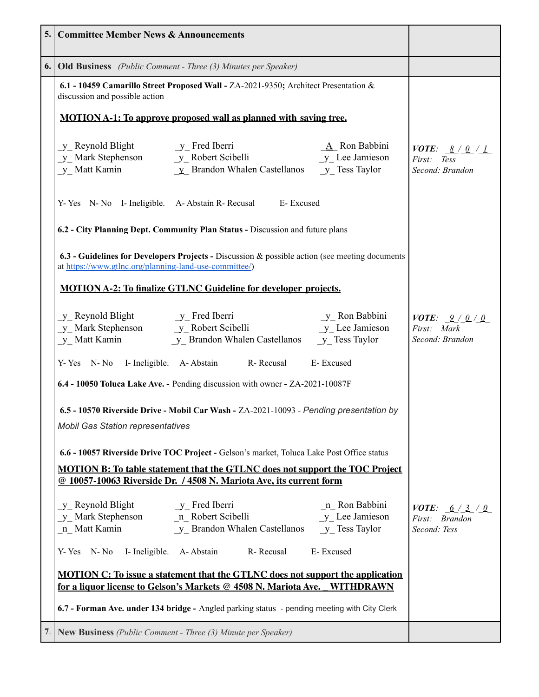| 5. | <b>Committee Member News &amp; Announcements</b>                                                                                                                                                                                                        |                                                                                            |
|----|---------------------------------------------------------------------------------------------------------------------------------------------------------------------------------------------------------------------------------------------------------|--------------------------------------------------------------------------------------------|
| 6. | <b>Old Business</b> (Public Comment - Three (3) Minutes per Speaker)                                                                                                                                                                                    |                                                                                            |
|    | 6.1 - 10459 Camarillo Street Proposed Wall - ZA-2021-9350; Architect Presentation &<br>discussion and possible action<br><b>MOTION A-1: To approve proposed wall as planned with saving tree.</b>                                                       |                                                                                            |
|    | y Reynold Blight<br>y Mark Stephenson<br>y Robert Scibelli<br>$\underline{A}$ Ron Babbini<br>y_Lee Jamieson<br>y Brandon Whalen Castellanos y Tess Taylor<br>y Matt Kamin                                                                               | <i>VOTE:</i> $8/0/1$<br>First: Tess<br>Second: Brandon                                     |
|    | Y-Yes N-No I- Ineligible. A-Abstain R-Recusal E-Excused                                                                                                                                                                                                 |                                                                                            |
|    | 6.2 - City Planning Dept. Community Plan Status - Discussion and future plans                                                                                                                                                                           |                                                                                            |
|    | 6.3 - Guidelines for Developers Projects - Discussion & possible action (see meeting documents<br>at https://www.gtlnc.org/planning-land-use-committee/)                                                                                                |                                                                                            |
|    | <b>MOTION A-2: To finalize GTLNC Guideline for developer projects.</b>                                                                                                                                                                                  |                                                                                            |
|    | y Ron Babbini<br>$y$ Mark Stephenson<br>$y$ Mark Stephenson<br>$y$ Matt Kamin<br>$y$ Brandon Whalen Castellanos<br>$y$ Tess Taylor<br>y_Lee Jamieson                                                                                                    | <i>VOTE:</i> $2 / Q / Q$<br>First: Mark<br>Second: Brandon                                 |
|    | Y-Yes N-No I- Ineligible. A-Abstain R-Recusal<br>E-Excused                                                                                                                                                                                              |                                                                                            |
|    | 6.4 - 10050 Toluca Lake Ave. - Pending discussion with owner - ZA-2021-10087F                                                                                                                                                                           |                                                                                            |
|    | 6.5 - 10570 Riverside Drive - Mobil Car Wash - ZA-2021-10093 - Pending presentation by<br><b>Mobil Gas Station representatives</b>                                                                                                                      |                                                                                            |
|    | 6.6 - 10057 Riverside Drive TOC Project - Gelson's market, Toluca Lake Post Office status<br><b>MOTION B: To table statement that the GTLNC does not support the TOC Project</b><br>@ 10057-10063 Riverside Dr. / 4508 N. Mariota Ave, its current form |                                                                                            |
|    | n Ron Babbini<br>_y_ Mark Stephenson __ n_ Robert Scibelli<br>y Lee Jamieson<br>$y$ Brandon Whalen Castellanos $y$ Tess Taylor<br>n_Matt Kamin                                                                                                          | <i>VOTE:</i> $\underline{6}/\underline{3}/\underline{0}$<br>First: Brandon<br>Second: Tess |
|    | Y-Yes N-No I-Ineligible. A-Abstain<br>R-Recusal<br>E-Excused                                                                                                                                                                                            |                                                                                            |
|    | <u>MOTION C: To issue a statement that the GTLNC does not support the application</u><br>for a liquor license to Gelson's Markets @ 4508 N. Mariota Ave. WITHDRAWN                                                                                      |                                                                                            |
|    | 6.7 - Forman Ave. under 134 bridge - Angled parking status - pending meeting with City Clerk                                                                                                                                                            |                                                                                            |
| 7. | New Business (Public Comment - Three (3) Minute per Speaker)                                                                                                                                                                                            |                                                                                            |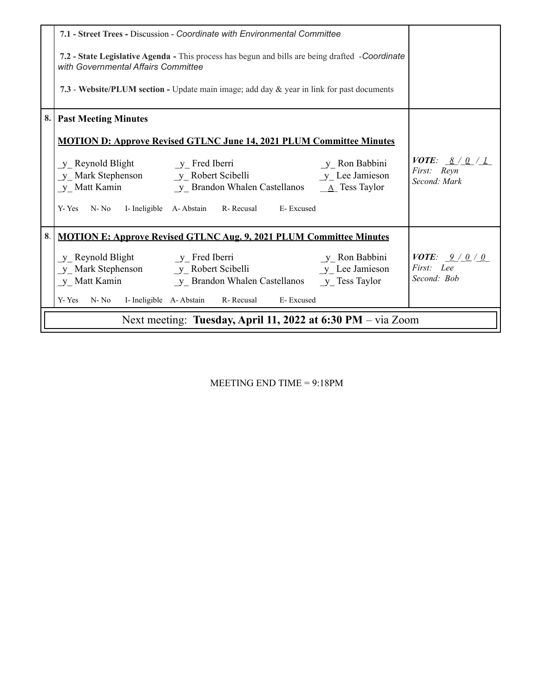|    | 7.1 - Street Trees - Discussion - Coordinate with Environmental Committee                                                                                                                                         |                                                                       |  |  |  |
|----|-------------------------------------------------------------------------------------------------------------------------------------------------------------------------------------------------------------------|-----------------------------------------------------------------------|--|--|--|
|    | 7.2 - State Legislative Agenda - This process has begun and bills are being drafted - Coordinate<br>with Governmental Affairs Committee                                                                           |                                                                       |  |  |  |
|    | 7.3 - Website/PLUM section - Update main image; add day $\&$ year in link for past documents                                                                                                                      |                                                                       |  |  |  |
| 8. | <b>Past Meeting Minutes</b>                                                                                                                                                                                       |                                                                       |  |  |  |
|    | <b>MOTION D: Approve Revised GTLNC June 14, 2021 PLUM Committee Minutes</b>                                                                                                                                       |                                                                       |  |  |  |
|    | $y$ <sub>Reynold</sub> Blight $y$ <sub>R</sub> Fred Iberri<br>y Ron Babbini<br>y Lee Jamieson<br>y Mark Stephenson y Robert Scibelli<br>$y$ Matt Kamin $y$ Brandon Whalen Castellanos $\underline{A}$ Tess Taylor | <i>VOTE:</i> <u><math>8/0/1</math></u><br>First: Reyn<br>Second: Mark |  |  |  |
|    | Y-Yes N-No I-Ineligible A-Abstain R-Recusal E-Excused                                                                                                                                                             |                                                                       |  |  |  |
| 8. | <b>MOTION E: Approve Revised GTLNC Aug. 9, 2021 PLUM Committee Minutes</b>                                                                                                                                        |                                                                       |  |  |  |
|    | y Ron Babbini<br>$y_R$ Reynold Blight $y_R$ Fred Iberri<br>$y$ <sub>Lee</sub> Jamieson<br>y Mark Stephenson y Robert Scibelli<br>y Matt Kamin Y Brandon Whalen Castellanos Y Tess Taylor                          | <i>VOTE:</i> $2 / Q / Q$<br>First: Lee<br>Second: Bob                 |  |  |  |
|    | Y-Yes N-No I-Ineligible A-Abstain R-Recusal E-Excused                                                                                                                                                             |                                                                       |  |  |  |
|    | Next meeting: Tuesday, April 11, 2022 at 6:30 PM – via Zoom                                                                                                                                                       |                                                                       |  |  |  |

MEETING END TIME = 9:18PM